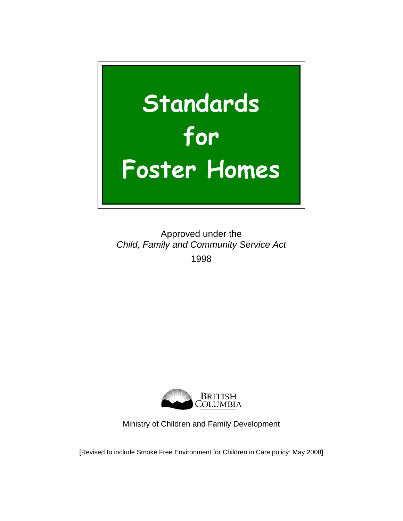

Approved under the *Child, Family and Community Service Act* 1998



Ministry of Children and Family Development

[Revised to include Smoke Free Environment for Children in Care policy: May 2008]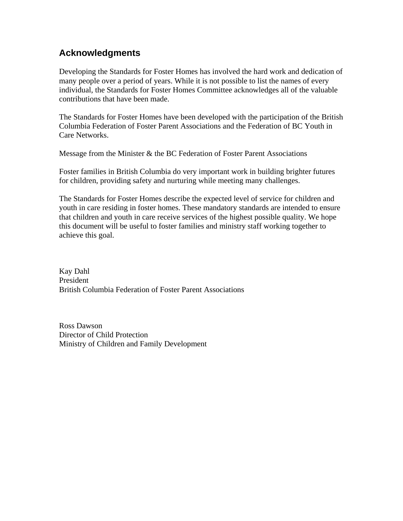## **Acknowledgments**

Developing the Standards for Foster Homes has involved the hard work and dedication of many people over a period of years. While it is not possible to list the names of every individual, the Standards for Foster Homes Committee acknowledges all of the valuable contributions that have been made.

The Standards for Foster Homes have been developed with the participation of the British Columbia Federation of Foster Parent Associations and the Federation of BC Youth in Care Networks.

Message from the Minister & the BC Federation of Foster Parent Associations

Foster families in British Columbia do very important work in building brighter futures for children, providing safety and nurturing while meeting many challenges.

The Standards for Foster Homes describe the expected level of service for children and youth in care residing in foster homes. These mandatory standards are intended to ensure that children and youth in care receive services of the highest possible quality. We hope this document will be useful to foster families and ministry staff working together to achieve this goal.

Kay Dahl President British Columbia Federation of Foster Parent Associations

Ross Dawson Director of Child Protection Ministry of Children and Family Development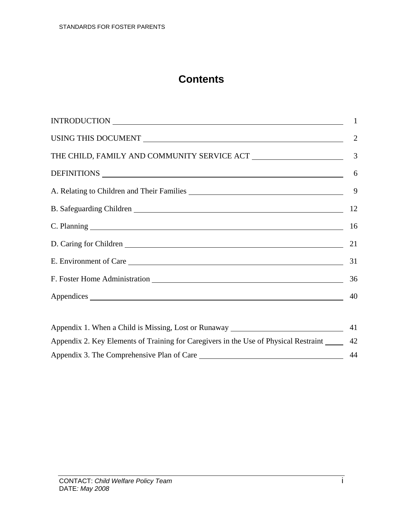## **Contents**

| INTRODUCTION                                                                         |  |
|--------------------------------------------------------------------------------------|--|
|                                                                                      |  |
|                                                                                      |  |
| DEFINITIONS 6                                                                        |  |
|                                                                                      |  |
| B. Safeguarding Children 12                                                          |  |
|                                                                                      |  |
|                                                                                      |  |
| E. Environment of Care                                                               |  |
|                                                                                      |  |
|                                                                                      |  |
|                                                                                      |  |
| Appendix 1. When a Child is Missing, Lost or Runaway ____________________________    |  |
| Appendix 2. Key Elements of Training for Caregivers in the Use of Physical Restraint |  |
|                                                                                      |  |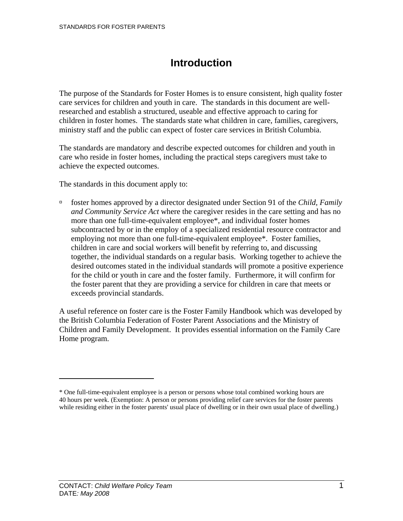## **Introduction**

The purpose of the Standards for Foster Homes is to ensure consistent, high quality foster care services for children and youth in care. The standards in this document are wellresearched and establish a structured, useable and effective approach to caring for children in foster homes. The standards state what children in care, families, caregivers, ministry staff and the public can expect of foster care services in British Columbia.

The standards are mandatory and describe expected outcomes for children and youth in care who reside in foster homes, including the practical steps caregivers must take to achieve the expected outcomes.

The standards in this document apply to:

à foster homes approved by a director designated under Section 91 of the *Child, Family and Community Service Act* where the caregiver resides in the care setting and has no more than one full-time-equivalent employee\*, and individual foster homes subcontracted by or in the employ of a specialized residential resource contractor and employing not more than one full-time-equivalent employee\*. Foster families, children in care and social workers will benefit by referring to, and discussing together, the individual standards on a regular basis. Working together to achieve the desired outcomes stated in the individual standards will promote a positive experience for the child or youth in care and the foster family. Furthermore, it will confirm for the foster parent that they are providing a service for children in care that meets or exceeds provincial standards.

A useful reference on foster care is the Foster Family Handbook which was developed by the British Columbia Federation of Foster Parent Associations and the Ministry of Children and Family Development. It provides essential information on the Family Care Home program.

 $\overline{a}$ 

<sup>\*</sup> One full-time-equivalent employee is a person or persons whose total combined working hours are 40 hours per week. (Exemption: A person or persons providing relief care services for the foster parents while residing either in the foster parents' usual place of dwelling or in their own usual place of dwelling.)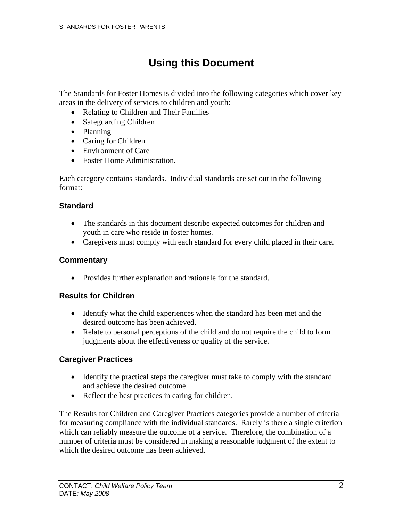# **Using this Document**

The Standards for Foster Homes is divided into the following categories which cover key areas in the delivery of services to children and youth:

- Relating to Children and Their Families
- Safeguarding Children
- Planning
- Caring for Children
- Environment of Care
- Foster Home Administration.

Each category contains standards. Individual standards are set out in the following format:

#### **Standard**

- The standards in this document describe expected outcomes for children and youth in care who reside in foster homes.
- Caregivers must comply with each standard for every child placed in their care.

### **Commentary**

• Provides further explanation and rationale for the standard.

#### **Results for Children**

- Identify what the child experiences when the standard has been met and the desired outcome has been achieved.
- Relate to personal perceptions of the child and do not require the child to form judgments about the effectiveness or quality of the service.

### **Caregiver Practices**

- Identify the practical steps the caregiver must take to comply with the standard and achieve the desired outcome.
- Reflect the best practices in caring for children.

The Results for Children and Caregiver Practices categories provide a number of criteria for measuring compliance with the individual standards. Rarely is there a single criterion which can reliably measure the outcome of a service. Therefore, the combination of a number of criteria must be considered in making a reasonable judgment of the extent to which the desired outcome has been achieved.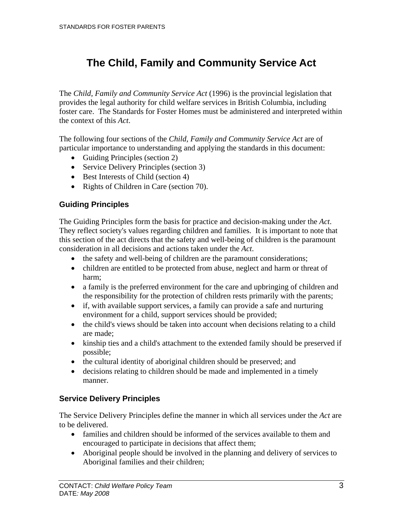# **The Child, Family and Community Service Act**

The *Child, Family and Community Service Act* (1996) is the provincial legislation that provides the legal authority for child welfare services in British Columbia, including foster care. The Standards for Foster Homes must be administered and interpreted within the context of this *Act*.

The following four sections of the *Child, Family and Community Service Act* are of particular importance to understanding and applying the standards in this document:

- Guiding Principles (section 2)
- Service Delivery Principles (section 3)
- Best Interests of Child (section 4)
- Rights of Children in Care (section 70).

## **Guiding Principles**

The Guiding Principles form the basis for practice and decision-making under the *Act*. They reflect society's values regarding children and families. It is important to note that this section of the act directs that the safety and well-being of children is the paramount consideration in all decisions and actions taken under the *Act*.

- the safety and well-being of children are the paramount considerations;
- children are entitled to be protected from abuse, neglect and harm or threat of harm;
- a family is the preferred environment for the care and upbringing of children and the responsibility for the protection of children rests primarily with the parents;
- if, with available support services, a family can provide a safe and nurturing environment for a child, support services should be provided;
- the child's views should be taken into account when decisions relating to a child are made;
- kinship ties and a child's attachment to the extended family should be preserved if possible;
- the cultural identity of aboriginal children should be preserved; and
- decisions relating to children should be made and implemented in a timely manner.

## **Service Delivery Principles**

The Service Delivery Principles define the manner in which all services under the *Act* are to be delivered.

- families and children should be informed of the services available to them and encouraged to participate in decisions that affect them;
- Aboriginal people should be involved in the planning and delivery of services to Aboriginal families and their children;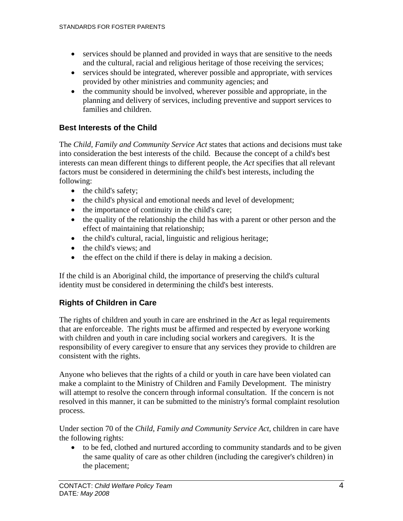- services should be planned and provided in ways that are sensitive to the needs and the cultural, racial and religious heritage of those receiving the services;
- services should be integrated, wherever possible and appropriate, with services provided by other ministries and community agencies; and
- the community should be involved, wherever possible and appropriate, in the planning and delivery of services, including preventive and support services to families and children.

## **Best Interests of the Child**

The *Child, Family and Community Service Act* states that actions and decisions must take into consideration the best interests of the child. Because the concept of a child's best interests can mean different things to different people, the *Act* specifies that all relevant factors must be considered in determining the child's best interests, including the following:

- the child's safety;
- the child's physical and emotional needs and level of development;
- the importance of continuity in the child's care;
- the quality of the relationship the child has with a parent or other person and the effect of maintaining that relationship;
- the child's cultural, racial, linguistic and religious heritage;
- the child's views; and
- the effect on the child if there is delay in making a decision.

If the child is an Aboriginal child, the importance of preserving the child's cultural identity must be considered in determining the child's best interests.

## **Rights of Children in Care**

The rights of children and youth in care are enshrined in the *Act* as legal requirements that are enforceable. The rights must be affirmed and respected by everyone working with children and youth in care including social workers and caregivers. It is the responsibility of every caregiver to ensure that any services they provide to children are consistent with the rights.

Anyone who believes that the rights of a child or youth in care have been violated can make a complaint to the Ministry of Children and Family Development. The ministry will attempt to resolve the concern through informal consultation. If the concern is not resolved in this manner, it can be submitted to the ministry's formal complaint resolution process.

Under section 70 of the *Child, Family and Community Service Act*, children in care have the following rights:

• to be fed, clothed and nurtured according to community standards and to be given the same quality of care as other children (including the caregiver's children) in the placement;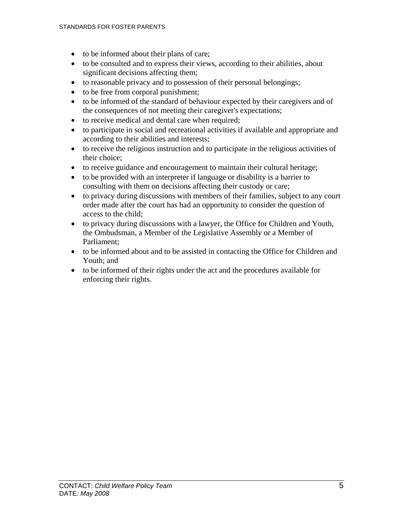- to be informed about their plans of care;
- to be consulted and to express their views, according to their abilities, about significant decisions affecting them;
- to reasonable privacy and to possession of their personal belongings;
- to be free from corporal punishment;
- to be informed of the standard of behaviour expected by their caregivers and of the consequences of not meeting their caregiver's expectations;
- to receive medical and dental care when required;
- to participate in social and recreational activities if available and appropriate and according to their abilities and interests;
- to receive the religious instruction and to participate in the religious activities of their choice;
- to receive guidance and encouragement to maintain their cultural heritage;
- to be provided with an interpreter if language or disability is a barrier to consulting with them on decisions affecting their custody or care;
- to privacy during discussions with members of their families, subject to any court order made after the court has had an opportunity to consider the question of access to the child;
- to privacy during discussions with a lawyer, the Office for Children and Youth, the Ombudsman, a Member of the Legislative Assembly or a Member of Parliament;
- to be informed about and to be assisted in contacting the Office for Children and Youth; and
- to be informed of their rights under the act and the procedures available for enforcing their rights.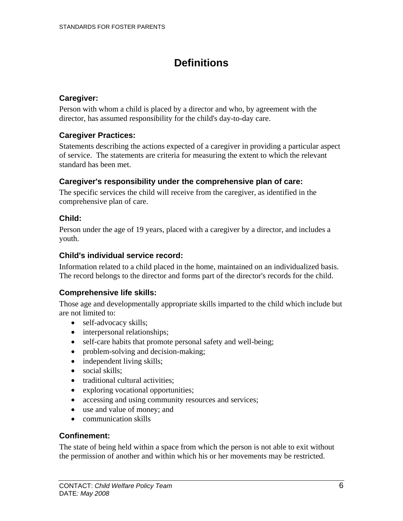## **Definitions**

## **Caregiver:**

Person with whom a child is placed by a director and who, by agreement with the director, has assumed responsibility for the child's day-to-day care.

## **Caregiver Practices:**

Statements describing the actions expected of a caregiver in providing a particular aspect of service. The statements are criteria for measuring the extent to which the relevant standard has been met.

## **Caregiver's responsibility under the comprehensive plan of care:**

The specific services the child will receive from the caregiver, as identified in the comprehensive plan of care.

## **Child:**

Person under the age of 19 years, placed with a caregiver by a director, and includes a youth.

## **Child's individual service record:**

Information related to a child placed in the home, maintained on an individualized basis. The record belongs to the director and forms part of the director's records for the child.

## **Comprehensive life skills:**

Those age and developmentally appropriate skills imparted to the child which include but are not limited to:

- self-advocacy skills;
- interpersonal relationships;
- self-care habits that promote personal safety and well-being;
- problem-solving and decision-making;
- independent living skills;
- social skills:
- traditional cultural activities:
- exploring vocational opportunities;
- accessing and using community resources and services;
- use and value of money; and
- communication skills

## **Confinement:**

The state of being held within a space from which the person is not able to exit without the permission of another and within which his or her movements may be restricted.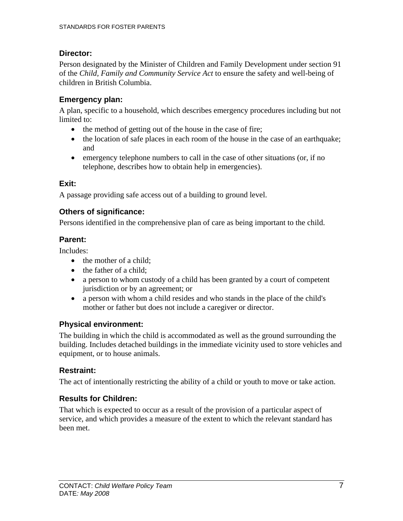## **Director:**

Person designated by the Minister of Children and Family Development under section 91 of the *Child, Family and Community Service Act* to ensure the safety and well-being of children in British Columbia.

## **Emergency plan:**

A plan, specific to a household, which describes emergency procedures including but not limited to:

- the method of getting out of the house in the case of fire;
- the location of safe places in each room of the house in the case of an earthquake; and
- emergency telephone numbers to call in the case of other situations (or, if no telephone, describes how to obtain help in emergencies).

## **Exit:**

A passage providing safe access out of a building to ground level.

## **Others of significance:**

Persons identified in the comprehensive plan of care as being important to the child.

## **Parent:**

Includes:

- the mother of a child:
- the father of a child;
- a person to whom custody of a child has been granted by a court of competent jurisdiction or by an agreement; or
- a person with whom a child resides and who stands in the place of the child's mother or father but does not include a caregiver or director.

## **Physical environment:**

The building in which the child is accommodated as well as the ground surrounding the building. Includes detached buildings in the immediate vicinity used to store vehicles and equipment, or to house animals.

## **Restraint:**

The act of intentionally restricting the ability of a child or youth to move or take action.

## **Results for Children:**

That which is expected to occur as a result of the provision of a particular aspect of service, and which provides a measure of the extent to which the relevant standard has been met.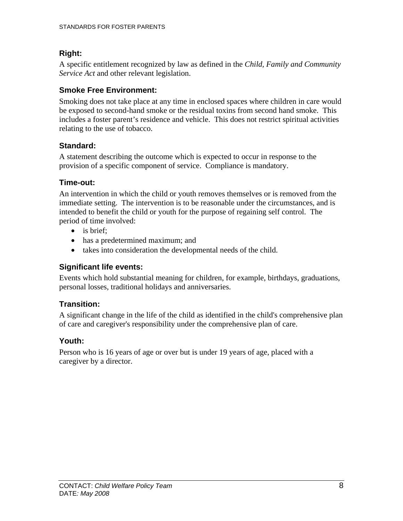## **Right:**

A specific entitlement recognized by law as defined in the *Child, Family and Community Service Act* and other relevant legislation.

## **Smoke Free Environment:**

Smoking does not take place at any time in enclosed spaces where children in care would be exposed to second-hand smoke or the residual toxins from second hand smoke. This includes a foster parent's residence and vehicle. This does not restrict spiritual activities relating to the use of tobacco.

## **Standard:**

A statement describing the outcome which is expected to occur in response to the provision of a specific component of service. Compliance is mandatory.

## **Time-out:**

An intervention in which the child or youth removes themselves or is removed from the immediate setting. The intervention is to be reasonable under the circumstances, and is intended to benefit the child or youth for the purpose of regaining self control. The period of time involved:

- is brief:
- has a predetermined maximum; and
- takes into consideration the developmental needs of the child.

## **Significant life events:**

Events which hold substantial meaning for children, for example, birthdays, graduations, personal losses, traditional holidays and anniversaries.

## **Transition:**

A significant change in the life of the child as identified in the child's comprehensive plan of care and caregiver's responsibility under the comprehensive plan of care.

## **Youth:**

Person who is 16 years of age or over but is under 19 years of age, placed with a caregiver by a director.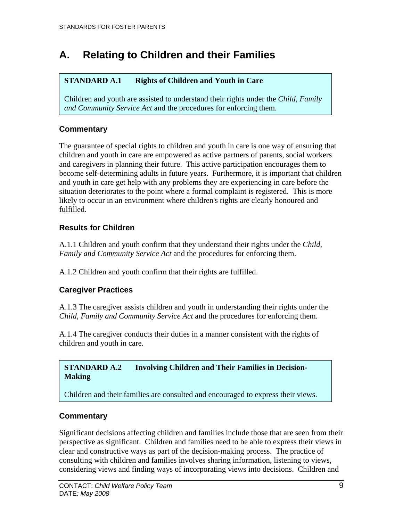## **A. Relating to Children and their Families**

## **STANDARD A.1 Rights of Children and Youth in Care**

Children and youth are assisted to understand their rights under the *Child, Family and Community Service Act* and the procedures for enforcing them.

## **Commentary**

The guarantee of special rights to children and youth in care is one way of ensuring that children and youth in care are empowered as active partners of parents, social workers and caregivers in planning their future. This active participation encourages them to become self-determining adults in future years. Furthermore, it is important that children and youth in care get help with any problems they are experiencing in care before the situation deteriorates to the point where a formal complaint is registered. This is more likely to occur in an environment where children's rights are clearly honoured and fulfilled.

## **Results for Children**

A.1.1 Children and youth confirm that they understand their rights under the *Child, Family and Community Service Act* and the procedures for enforcing them.

A.1.2 Children and youth confirm that their rights are fulfilled.

## **Caregiver Practices**

A.1.3 The caregiver assists children and youth in understanding their rights under the *Child, Family and Community Service Act* and the procedures for enforcing them.

A.1.4 The caregiver conducts their duties in a manner consistent with the rights of children and youth in care.

**STANDARD A.2 Involving Children and Their Families in Decision-Making** 

Children and their families are consulted and encouraged to express their views.

### **Commentary**

Significant decisions affecting children and families include those that are seen from their perspective as significant. Children and families need to be able to express their views in clear and constructive ways as part of the decision-making process. The practice of consulting with children and families involves sharing information, listening to views, considering views and finding ways of incorporating views into decisions. Children and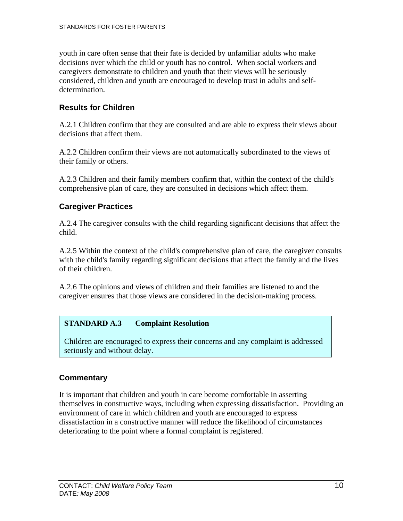youth in care often sense that their fate is decided by unfamiliar adults who make decisions over which the child or youth has no control. When social workers and caregivers demonstrate to children and youth that their views will be seriously considered, children and youth are encouraged to develop trust in adults and selfdetermination.

### **Results for Children**

A.2.1 Children confirm that they are consulted and are able to express their views about decisions that affect them.

A.2.2 Children confirm their views are not automatically subordinated to the views of their family or others.

A.2.3 Children and their family members confirm that, within the context of the child's comprehensive plan of care, they are consulted in decisions which affect them.

## **Caregiver Practices**

A.2.4 The caregiver consults with the child regarding significant decisions that affect the child.

A.2.5 Within the context of the child's comprehensive plan of care, the caregiver consults with the child's family regarding significant decisions that affect the family and the lives of their children.

A.2.6 The opinions and views of children and their families are listened to and the caregiver ensures that those views are considered in the decision-making process.

### **STANDARD A.3 Complaint Resolution**

Children are encouraged to express their concerns and any complaint is addressed seriously and without delay.

### **Commentary**

It is important that children and youth in care become comfortable in asserting themselves in constructive ways, including when expressing dissatisfaction. Providing an environment of care in which children and youth are encouraged to express dissatisfaction in a constructive manner will reduce the likelihood of circumstances deteriorating to the point where a formal complaint is registered.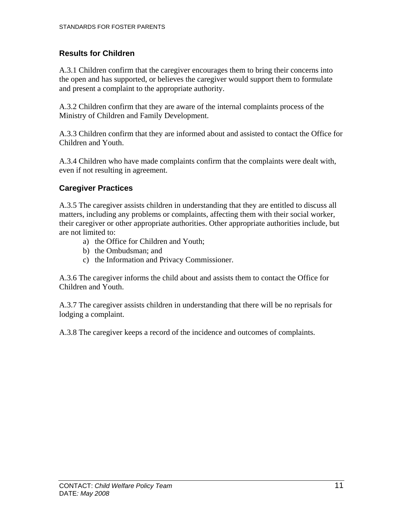## **Results for Children**

A.3.1 Children confirm that the caregiver encourages them to bring their concerns into the open and has supported, or believes the caregiver would support them to formulate and present a complaint to the appropriate authority.

A.3.2 Children confirm that they are aware of the internal complaints process of the Ministry of Children and Family Development.

A.3.3 Children confirm that they are informed about and assisted to contact the Office for Children and Youth.

A.3.4 Children who have made complaints confirm that the complaints were dealt with, even if not resulting in agreement.

## **Caregiver Practices**

A.3.5 The caregiver assists children in understanding that they are entitled to discuss all matters, including any problems or complaints, affecting them with their social worker, their caregiver or other appropriate authorities. Other appropriate authorities include, but are not limited to:

- a) the Office for Children and Youth;
- b) the Ombudsman; and
- c) the Information and Privacy Commissioner.

A.3.6 The caregiver informs the child about and assists them to contact the Office for Children and Youth.

A.3.7 The caregiver assists children in understanding that there will be no reprisals for lodging a complaint.

A.3.8 The caregiver keeps a record of the incidence and outcomes of complaints.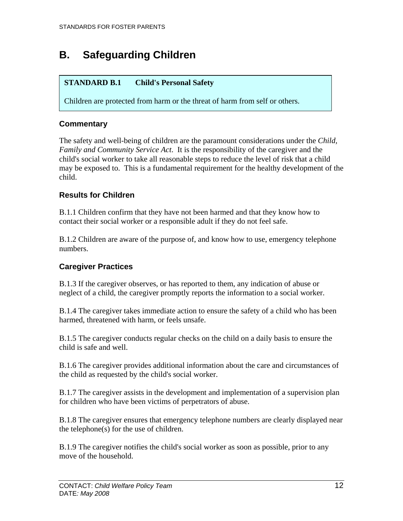# **B. Safeguarding Children**

## **STANDARD B.1 Child's Personal Safety**

Children are protected from harm or the threat of harm from self or others.

## **Commentary**

The safety and well-being of children are the paramount considerations under the *Child, Family and Community Service Act*. It is the responsibility of the caregiver and the child's social worker to take all reasonable steps to reduce the level of risk that a child may be exposed to. This is a fundamental requirement for the healthy development of the child.

## **Results for Children**

B.1.1 Children confirm that they have not been harmed and that they know how to contact their social worker or a responsible adult if they do not feel safe.

B.1.2 Children are aware of the purpose of, and know how to use, emergency telephone numbers.

## **Caregiver Practices**

B.1.3 If the caregiver observes, or has reported to them, any indication of abuse or neglect of a child, the caregiver promptly reports the information to a social worker.

B.1.4 The caregiver takes immediate action to ensure the safety of a child who has been harmed, threatened with harm, or feels unsafe.

B.1.5 The caregiver conducts regular checks on the child on a daily basis to ensure the child is safe and well.

B.1.6 The caregiver provides additional information about the care and circumstances of the child as requested by the child's social worker.

B.1.7 The caregiver assists in the development and implementation of a supervision plan for children who have been victims of perpetrators of abuse.

B.1.8 The caregiver ensures that emergency telephone numbers are clearly displayed near the telephone(s) for the use of children.

B.1.9 The caregiver notifies the child's social worker as soon as possible, prior to any move of the household.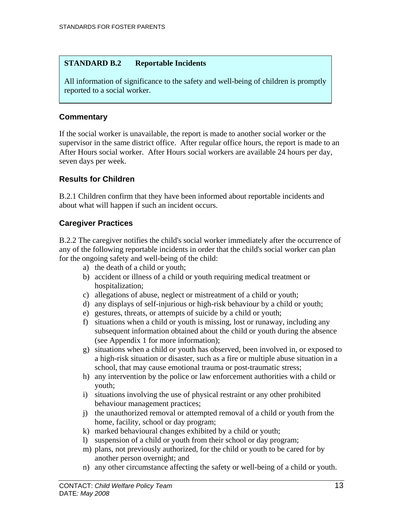#### **STANDARD B.2 Reportable Incidents**

All information of significance to the safety and well-being of children is promptly reported to a social worker.

#### **Commentary**

If the social worker is unavailable, the report is made to another social worker or the supervisor in the same district office. After regular office hours, the report is made to an After Hours social worker. After Hours social workers are available 24 hours per day, seven days per week.

### **Results for Children**

B.2.1 Children confirm that they have been informed about reportable incidents and about what will happen if such an incident occurs.

### **Caregiver Practices**

B.2.2 The caregiver notifies the child's social worker immediately after the occurrence of any of the following reportable incidents in order that the child's social worker can plan for the ongoing safety and well-being of the child:

- a) the death of a child or youth;
- b) accident or illness of a child or youth requiring medical treatment or hospitalization;
- c) allegations of abuse, neglect or mistreatment of a child or youth;
- d) any displays of self-injurious or high-risk behaviour by a child or youth;
- e) gestures, threats, or attempts of suicide by a child or youth;
- f) situations when a child or youth is missing, lost or runaway, including any subsequent information obtained about the child or youth during the absence (see Appendix 1 for more information);
- g) situations when a child or youth has observed, been involved in, or exposed to a high-risk situation or disaster, such as a fire or multiple abuse situation in a school, that may cause emotional trauma or post-traumatic stress;
- h) any intervention by the police or law enforcement authorities with a child or youth;
- i) situations involving the use of physical restraint or any other prohibited behaviour management practices;
- j) the unauthorized removal or attempted removal of a child or youth from the home, facility, school or day program;
- k) marked behavioural changes exhibited by a child or youth;
- l) suspension of a child or youth from their school or day program;
- m) plans, not previously authorized, for the child or youth to be cared for by another person overnight; and
- n) any other circumstance affecting the safety or well-being of a child or youth.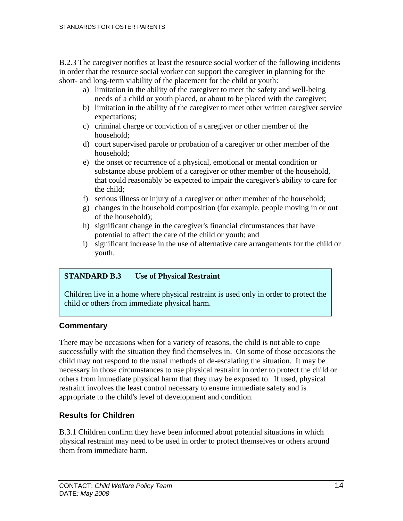B.2.3 The caregiver notifies at least the resource social worker of the following incidents in order that the resource social worker can support the caregiver in planning for the short- and long-term viability of the placement for the child or youth:

- a) limitation in the ability of the caregiver to meet the safety and well-being needs of a child or youth placed, or about to be placed with the caregiver;
- b) limitation in the ability of the caregiver to meet other written caregiver service expectations;
- c) criminal charge or conviction of a caregiver or other member of the household;
- d) court supervised parole or probation of a caregiver or other member of the household;
- e) the onset or recurrence of a physical, emotional or mental condition or substance abuse problem of a caregiver or other member of the household, that could reasonably be expected to impair the caregiver's ability to care for the child;
- f) serious illness or injury of a caregiver or other member of the household;
- g) changes in the household composition (for example, people moving in or out of the household);
- h) significant change in the caregiver's financial circumstances that have potential to affect the care of the child or youth; and
- i) significant increase in the use of alternative care arrangements for the child or youth.

## **STANDARD B.3 Use of Physical Restraint**

Children live in a home where physical restraint is used only in order to protect the child or others from immediate physical harm.

## **Commentary**

There may be occasions when for a variety of reasons, the child is not able to cope successfully with the situation they find themselves in. On some of those occasions the child may not respond to the usual methods of de-escalating the situation. It may be necessary in those circumstances to use physical restraint in order to protect the child or others from immediate physical harm that they may be exposed to. If used, physical restraint involves the least control necessary to ensure immediate safety and is appropriate to the child's level of development and condition.

## **Results for Children**

B.3.1 Children confirm they have been informed about potential situations in which physical restraint may need to be used in order to protect themselves or others around them from immediate harm.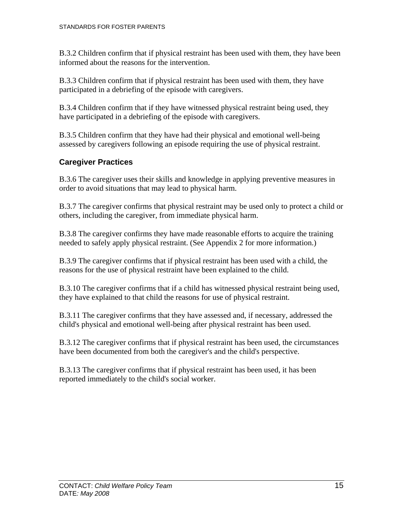B.3.2 Children confirm that if physical restraint has been used with them, they have been informed about the reasons for the intervention.

B.3.3 Children confirm that if physical restraint has been used with them, they have participated in a debriefing of the episode with caregivers.

B.3.4 Children confirm that if they have witnessed physical restraint being used, they have participated in a debriefing of the episode with caregivers.

B.3.5 Children confirm that they have had their physical and emotional well-being assessed by caregivers following an episode requiring the use of physical restraint.

## **Caregiver Practices**

B.3.6 The caregiver uses their skills and knowledge in applying preventive measures in order to avoid situations that may lead to physical harm.

B.3.7 The caregiver confirms that physical restraint may be used only to protect a child or others, including the caregiver, from immediate physical harm.

B.3.8 The caregiver confirms they have made reasonable efforts to acquire the training needed to safely apply physical restraint. (See Appendix 2 for more information.)

B.3.9 The caregiver confirms that if physical restraint has been used with a child, the reasons for the use of physical restraint have been explained to the child.

B.3.10 The caregiver confirms that if a child has witnessed physical restraint being used, they have explained to that child the reasons for use of physical restraint.

B.3.11 The caregiver confirms that they have assessed and, if necessary, addressed the child's physical and emotional well-being after physical restraint has been used.

B.3.12 The caregiver confirms that if physical restraint has been used, the circumstances have been documented from both the caregiver's and the child's perspective.

B.3.13 The caregiver confirms that if physical restraint has been used, it has been reported immediately to the child's social worker.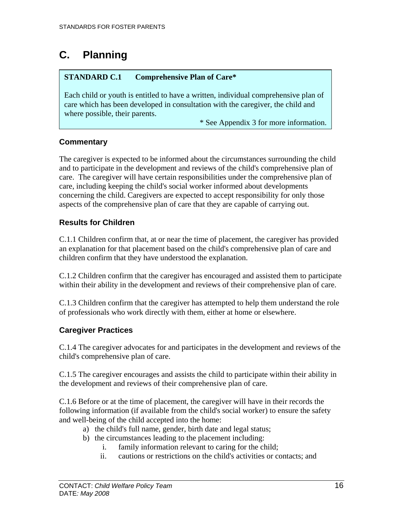# **C. Planning**

## **STANDARD C.1 Comprehensive Plan of Care\***

Each child or youth is entitled to have a written, individual comprehensive plan of care which has been developed in consultation with the caregiver, the child and where possible, their parents.

\* See Appendix 3 for more information.

## **Commentary**

The caregiver is expected to be informed about the circumstances surrounding the child and to participate in the development and reviews of the child's comprehensive plan of care. The caregiver will have certain responsibilities under the comprehensive plan of care, including keeping the child's social worker informed about developments concerning the child. Caregivers are expected to accept responsibility for only those aspects of the comprehensive plan of care that they are capable of carrying out.

## **Results for Children**

C.1.1 Children confirm that, at or near the time of placement, the caregiver has provided an explanation for that placement based on the child's comprehensive plan of care and children confirm that they have understood the explanation.

C.1.2 Children confirm that the caregiver has encouraged and assisted them to participate within their ability in the development and reviews of their comprehensive plan of care.

C.1.3 Children confirm that the caregiver has attempted to help them understand the role of professionals who work directly with them, either at home or elsewhere.

## **Caregiver Practices**

C.1.4 The caregiver advocates for and participates in the development and reviews of the child's comprehensive plan of care.

C.1.5 The caregiver encourages and assists the child to participate within their ability in the development and reviews of their comprehensive plan of care.

C.1.6 Before or at the time of placement, the caregiver will have in their records the following information (if available from the child's social worker) to ensure the safety and well-being of the child accepted into the home:

- a) the child's full name, gender, birth date and legal status;
- b) the circumstances leading to the placement including:
	- i. family information relevant to caring for the child;
	- ii. cautions or restrictions on the child's activities or contacts; and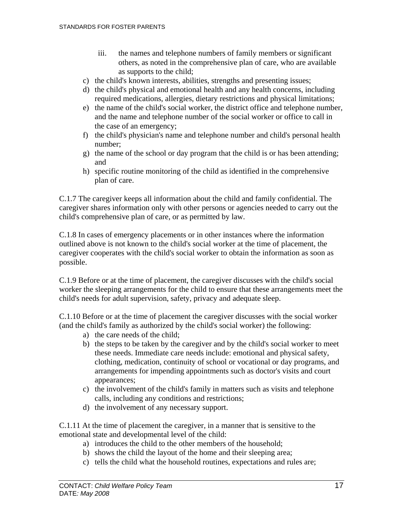- iii. the names and telephone numbers of family members or significant others, as noted in the comprehensive plan of care, who are available as supports to the child;
- c) the child's known interests, abilities, strengths and presenting issues;
- d) the child's physical and emotional health and any health concerns, including required medications, allergies, dietary restrictions and physical limitations;
- e) the name of the child's social worker, the district office and telephone number, and the name and telephone number of the social worker or office to call in the case of an emergency;
- f) the child's physician's name and telephone number and child's personal health number;
- g) the name of the school or day program that the child is or has been attending; and
- h) specific routine monitoring of the child as identified in the comprehensive plan of care.

C.1.7 The caregiver keeps all information about the child and family confidential. The caregiver shares information only with other persons or agencies needed to carry out the child's comprehensive plan of care, or as permitted by law.

C.1.8 In cases of emergency placements or in other instances where the information outlined above is not known to the child's social worker at the time of placement, the caregiver cooperates with the child's social worker to obtain the information as soon as possible.

C.1.9 Before or at the time of placement, the caregiver discusses with the child's social worker the sleeping arrangements for the child to ensure that these arrangements meet the child's needs for adult supervision, safety, privacy and adequate sleep.

C.1.10 Before or at the time of placement the caregiver discusses with the social worker (and the child's family as authorized by the child's social worker) the following:

- a) the care needs of the child;
- b) the steps to be taken by the caregiver and by the child's social worker to meet these needs. Immediate care needs include: emotional and physical safety, clothing, medication, continuity of school or vocational or day programs, and arrangements for impending appointments such as doctor's visits and court appearances;
- c) the involvement of the child's family in matters such as visits and telephone calls, including any conditions and restrictions;
- d) the involvement of any necessary support.

C.1.11 At the time of placement the caregiver, in a manner that is sensitive to the emotional state and developmental level of the child:

- a) introduces the child to the other members of the household;
- b) shows the child the layout of the home and their sleeping area;
- c) tells the child what the household routines, expectations and rules are;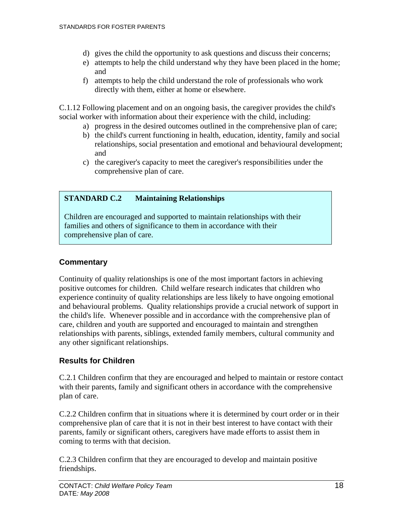- d) gives the child the opportunity to ask questions and discuss their concerns;
- e) attempts to help the child understand why they have been placed in the home; and
- f) attempts to help the child understand the role of professionals who work directly with them, either at home or elsewhere.

C.1.12 Following placement and on an ongoing basis, the caregiver provides the child's social worker with information about their experience with the child, including:

- a) progress in the desired outcomes outlined in the comprehensive plan of care;
- b) the child's current functioning in health, education, identity, family and social relationships, social presentation and emotional and behavioural development; and
- c) the caregiver's capacity to meet the caregiver's responsibilities under the comprehensive plan of care.

#### **STANDARD C.2 Maintaining Relationships**

Children are encouraged and supported to maintain relationships with their families and others of significance to them in accordance with their comprehensive plan of care.

### **Commentary**

Continuity of quality relationships is one of the most important factors in achieving positive outcomes for children. Child welfare research indicates that children who experience continuity of quality relationships are less likely to have ongoing emotional and behavioural problems. Quality relationships provide a crucial network of support in the child's life. Whenever possible and in accordance with the comprehensive plan of care, children and youth are supported and encouraged to maintain and strengthen relationships with parents, siblings, extended family members, cultural community and any other significant relationships.

### **Results for Children**

C.2.1 Children confirm that they are encouraged and helped to maintain or restore contact with their parents, family and significant others in accordance with the comprehensive plan of care.

C.2.2 Children confirm that in situations where it is determined by court order or in their comprehensive plan of care that it is not in their best interest to have contact with their parents, family or significant others, caregivers have made efforts to assist them in coming to terms with that decision.

C.2.3 Children confirm that they are encouraged to develop and maintain positive friendships.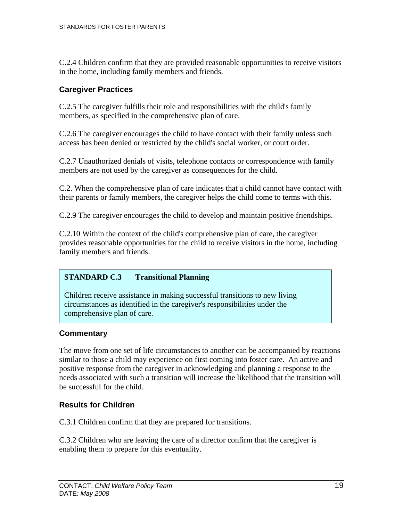C.2.4 Children confirm that they are provided reasonable opportunities to receive visitors in the home, including family members and friends.

### **Caregiver Practices**

C.2.5 The caregiver fulfills their role and responsibilities with the child's family members, as specified in the comprehensive plan of care.

C.2.6 The caregiver encourages the child to have contact with their family unless such access has been denied or restricted by the child's social worker, or court order.

C.2.7 Unauthorized denials of visits, telephone contacts or correspondence with family members are not used by the caregiver as consequences for the child.

C.2. When the comprehensive plan of care indicates that a child cannot have contact with their parents or family members, the caregiver helps the child come to terms with this.

C.2.9 The caregiver encourages the child to develop and maintain positive friendships.

C.2.10 Within the context of the child's comprehensive plan of care, the caregiver provides reasonable opportunities for the child to receive visitors in the home, including family members and friends.

### **STANDARD C.3 Transitional Planning**

Children receive assistance in making successful transitions to new living circumstances as identified in the caregiver's responsibilities under the comprehensive plan of care.

### **Commentary**

The move from one set of life circumstances to another can be accompanied by reactions similar to those a child may experience on first coming into foster care. An active and positive response from the caregiver in acknowledging and planning a response to the needs associated with such a transition will increase the likelihood that the transition will be successful for the child.

## **Results for Children**

C.3.1 Children confirm that they are prepared for transitions.

C.3.2 Children who are leaving the care of a director confirm that the caregiver is enabling them to prepare for this eventuality.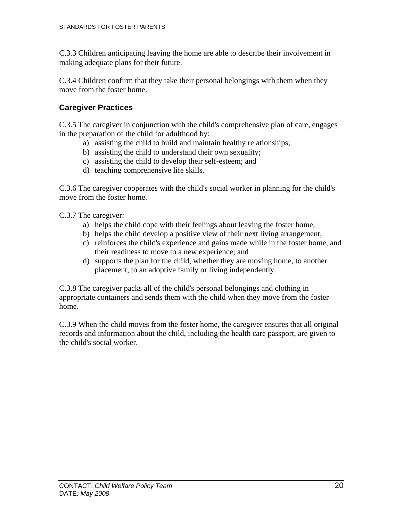C.3.3 Children anticipating leaving the home are able to describe their involvement in making adequate plans for their future.

C.3.4 Children confirm that they take their personal belongings with them when they move from the foster home.

## **Caregiver Practices**

C.3.5 The caregiver in conjunction with the child's comprehensive plan of care, engages in the preparation of the child for adulthood by:

- a) assisting the child to build and maintain healthy relationships;
- b) assisting the child to understand their own sexuality;
- c) assisting the child to develop their self-esteem; and
- d) teaching comprehensive life skills.

C.3.6 The caregiver cooperates with the child's social worker in planning for the child's move from the foster home.

C.3.7 The caregiver:

- a) helps the child cope with their feelings about leaving the foster home;
- b) helps the child develop a positive view of their next living arrangement;
- c) reinforces the child's experience and gains made while in the foster home, and their readiness to move to a new experience; and
- d) supports the plan for the child, whether they are moving home, to another placement, to an adoptive family or living independently.

C.3.8 The caregiver packs all of the child's personal belongings and clothing in appropriate containers and sends them with the child when they move from the foster home.

C.3.9 When the child moves from the foster home, the caregiver ensures that all original records and information about the child, including the health care passport, are given to the child's social worker.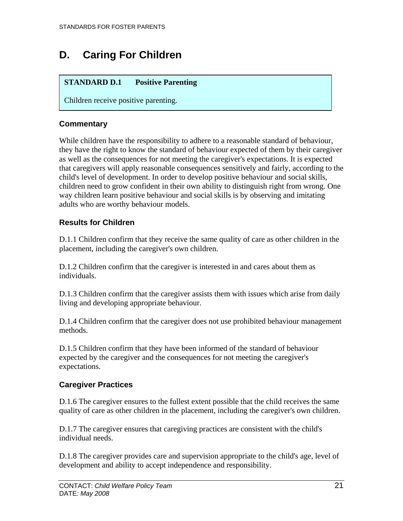# **D. Caring For Children**

## **STANDARD D.1 Positive Parenting**

Children receive positive parenting.

## **Commentary**

While children have the responsibility to adhere to a reasonable standard of behaviour, they have the right to know the standard of behaviour expected of them by their caregiver as well as the consequences for not meeting the caregiver's expectations. It is expected that caregivers will apply reasonable consequences sensitively and fairly, according to the child's level of development. In order to develop positive behaviour and social skills, children need to grow confident in their own ability to distinguish right from wrong. One way children learn positive behaviour and social skills is by observing and imitating adults who are worthy behaviour models.

## **Results for Children**

D.1.1 Children confirm that they receive the same quality of care as other children in the placement, including the caregiver's own children.

D.1.2 Children confirm that the caregiver is interested in and cares about them as individuals.

D.1.3 Children confirm that the caregiver assists them with issues which arise from daily living and developing appropriate behaviour.

D.1.4 Children confirm that the caregiver does not use prohibited behaviour management methods.

D.1.5 Children confirm that they have been informed of the standard of behaviour expected by the caregiver and the consequences for not meeting the caregiver's expectations.

## **Caregiver Practices**

D.1.6 The caregiver ensures to the fullest extent possible that the child receives the same quality of care as other children in the placement, including the caregiver's own children.

D.1.7 The caregiver ensures that caregiving practices are consistent with the child's individual needs.

D.1.8 The caregiver provides care and supervision appropriate to the child's age, level of development and ability to accept independence and responsibility.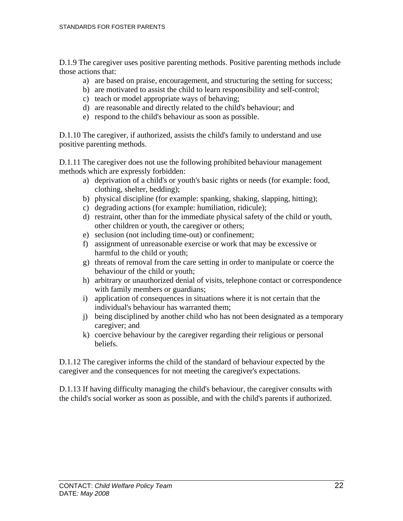D.1.9 The caregiver uses positive parenting methods. Positive parenting methods include those actions that:

- a) are based on praise, encouragement, and structuring the setting for success;
- b) are motivated to assist the child to learn responsibility and self-control;
- c) teach or model appropriate ways of behaving;
- d) are reasonable and directly related to the child's behaviour; and
- e) respond to the child's behaviour as soon as possible.

D.1.10 The caregiver, if authorized, assists the child's family to understand and use positive parenting methods.

D.1.11 The caregiver does not use the following prohibited behaviour management methods which are expressly forbidden:

- a) deprivation of a child's or youth's basic rights or needs (for example: food, clothing, shelter, bedding);
- b) physical discipline (for example: spanking, shaking, slapping, hitting);
- c) degrading actions (for example: humiliation, ridicule);
- d) restraint, other than for the immediate physical safety of the child or youth, other children or youth, the caregiver or others;
- e) seclusion (not including time-out) or confinement;
- f) assignment of unreasonable exercise or work that may be excessive or harmful to the child or youth;
- g) threats of removal from the care setting in order to manipulate or coerce the behaviour of the child or youth;
- h) arbitrary or unauthorized denial of visits, telephone contact or correspondence with family members or guardians;
- i) application of consequences in situations where it is not certain that the individual's behaviour has warranted them;
- j) being disciplined by another child who has not been designated as a temporary caregiver; and
- k) coercive behaviour by the caregiver regarding their religious or personal beliefs.

D.1.12 The caregiver informs the child of the standard of behaviour expected by the caregiver and the consequences for not meeting the caregiver's expectations.

D.1.13 If having difficulty managing the child's behaviour, the caregiver consults with the child's social worker as soon as possible, and with the child's parents if authorized.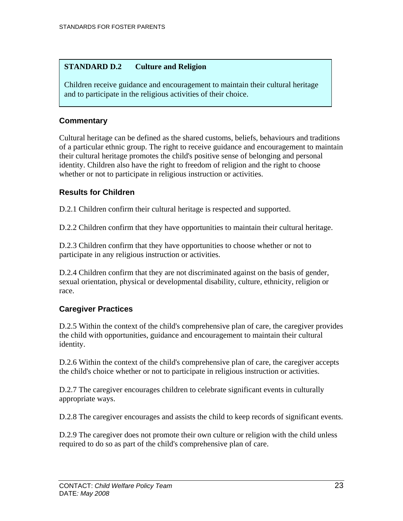### **STANDARD D.2 Culture and Religion**

Children receive guidance and encouragement to maintain their cultural heritage and to participate in the religious activities of their choice.

## **Commentary**

Cultural heritage can be defined as the shared customs, beliefs, behaviours and traditions of a particular ethnic group. The right to receive guidance and encouragement to maintain their cultural heritage promotes the child's positive sense of belonging and personal identity. Children also have the right to freedom of religion and the right to choose whether or not to participate in religious instruction or activities.

## **Results for Children**

D.2.1 Children confirm their cultural heritage is respected and supported.

D.2.2 Children confirm that they have opportunities to maintain their cultural heritage.

D.2.3 Children confirm that they have opportunities to choose whether or not to participate in any religious instruction or activities.

D.2.4 Children confirm that they are not discriminated against on the basis of gender, sexual orientation, physical or developmental disability, culture, ethnicity, religion or race.

## **Caregiver Practices**

D.2.5 Within the context of the child's comprehensive plan of care, the caregiver provides the child with opportunities, guidance and encouragement to maintain their cultural identity.

D.2.6 Within the context of the child's comprehensive plan of care, the caregiver accepts the child's choice whether or not to participate in religious instruction or activities.

D.2.7 The caregiver encourages children to celebrate significant events in culturally appropriate ways.

D.2.8 The caregiver encourages and assists the child to keep records of significant events.

D.2.9 The caregiver does not promote their own culture or religion with the child unless required to do so as part of the child's comprehensive plan of care.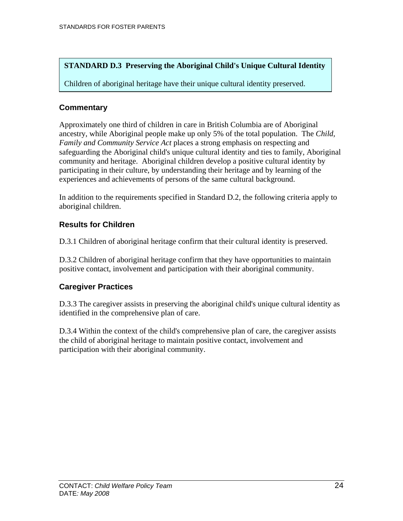## **STANDARD D.3 Preserving the Aboriginal Child's Unique Cultural Identity**

Children of aboriginal heritage have their unique cultural identity preserved.

## **Commentary**

Approximately one third of children in care in British Columbia are of Aboriginal ancestry, while Aboriginal people make up only 5% of the total population. The *Child, Family and Community Service Act* places a strong emphasis on respecting and safeguarding the Aboriginal child's unique cultural identity and ties to family, Aboriginal community and heritage. Aboriginal children develop a positive cultural identity by participating in their culture, by understanding their heritage and by learning of the experiences and achievements of persons of the same cultural background.

In addition to the requirements specified in Standard D.2, the following criteria apply to aboriginal children.

## **Results for Children**

D.3.1 Children of aboriginal heritage confirm that their cultural identity is preserved.

D.3.2 Children of aboriginal heritage confirm that they have opportunities to maintain positive contact, involvement and participation with their aboriginal community.

## **Caregiver Practices**

D.3.3 The caregiver assists in preserving the aboriginal child's unique cultural identity as identified in the comprehensive plan of care.

D.3.4 Within the context of the child's comprehensive plan of care, the caregiver assists the child of aboriginal heritage to maintain positive contact, involvement and participation with their aboriginal community.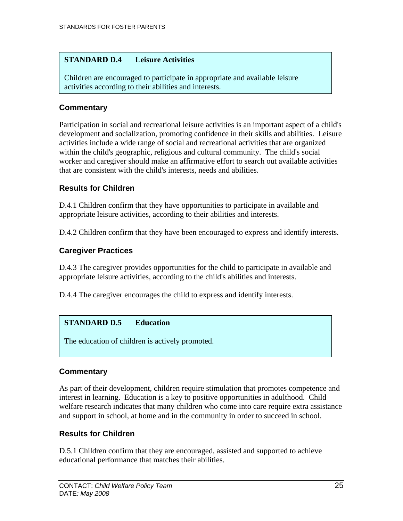### **STANDARD D.4 Leisure Activities**

Children are encouraged to participate in appropriate and available leisure activities according to their abilities and interests.

### **Commentary**

Participation in social and recreational leisure activities is an important aspect of a child's development and socialization, promoting confidence in their skills and abilities. Leisure activities include a wide range of social and recreational activities that are organized within the child's geographic, religious and cultural community. The child's social worker and caregiver should make an affirmative effort to search out available activities that are consistent with the child's interests, needs and abilities.

### **Results for Children**

D.4.1 Children confirm that they have opportunities to participate in available and appropriate leisure activities, according to their abilities and interests.

D.4.2 Children confirm that they have been encouraged to express and identify interests.

## **Caregiver Practices**

D.4.3 The caregiver provides opportunities for the child to participate in available and appropriate leisure activities, according to the child's abilities and interests.

D.4.4 The caregiver encourages the child to express and identify interests.

### **STANDARD D.5 Education**

The education of children is actively promoted.

### **Commentary**

As part of their development, children require stimulation that promotes competence and interest in learning. Education is a key to positive opportunities in adulthood. Child welfare research indicates that many children who come into care require extra assistance and support in school, at home and in the community in order to succeed in school.

### **Results for Children**

D.5.1 Children confirm that they are encouraged, assisted and supported to achieve educational performance that matches their abilities.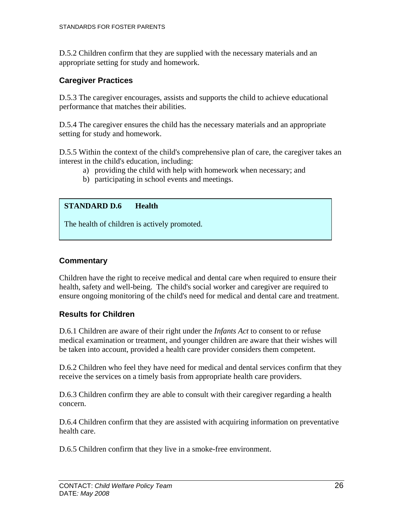D.5.2 Children confirm that they are supplied with the necessary materials and an appropriate setting for study and homework.

#### **Caregiver Practices**

D.5.3 The caregiver encourages, assists and supports the child to achieve educational performance that matches their abilities.

D.5.4 The caregiver ensures the child has the necessary materials and an appropriate setting for study and homework.

D.5.5 Within the context of the child's comprehensive plan of care, the caregiver takes an interest in the child's education, including:

- a) providing the child with help with homework when necessary; and
- b) participating in school events and meetings.

#### **STANDARD D.6 Health**

The health of children is actively promoted.

#### **Commentary**

Children have the right to receive medical and dental care when required to ensure their health, safety and well-being. The child's social worker and caregiver are required to ensure ongoing monitoring of the child's need for medical and dental care and treatment.

#### **Results for Children**

D.6.1 Children are aware of their right under the *Infants Act* to consent to or refuse medical examination or treatment, and younger children are aware that their wishes will be taken into account, provided a health care provider considers them competent.

D.6.2 Children who feel they have need for medical and dental services confirm that they receive the services on a timely basis from appropriate health care providers.

D.6.3 Children confirm they are able to consult with their caregiver regarding a health concern.

D.6.4 Children confirm that they are assisted with acquiring information on preventative health care.

D.6.5 Children confirm that they live in a smoke-free environment.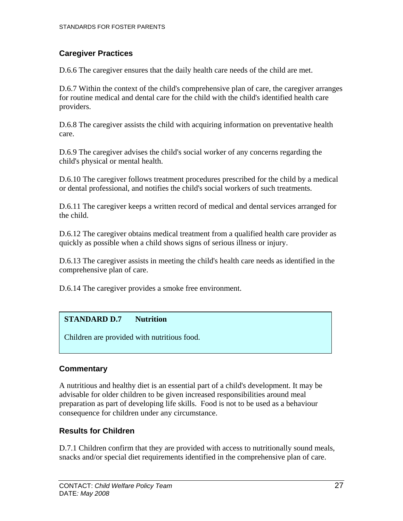## **Caregiver Practices**

D.6.6 The caregiver ensures that the daily health care needs of the child are met.

D.6.7 Within the context of the child's comprehensive plan of care, the caregiver arranges for routine medical and dental care for the child with the child's identified health care providers.

D.6.8 The caregiver assists the child with acquiring information on preventative health care.

D.6.9 The caregiver advises the child's social worker of any concerns regarding the child's physical or mental health.

D.6.10 The caregiver follows treatment procedures prescribed for the child by a medical or dental professional, and notifies the child's social workers of such treatments.

D.6.11 The caregiver keeps a written record of medical and dental services arranged for the child.

D.6.12 The caregiver obtains medical treatment from a qualified health care provider as quickly as possible when a child shows signs of serious illness or injury.

D.6.13 The caregiver assists in meeting the child's health care needs as identified in the comprehensive plan of care.

D.6.14 The caregiver provides a smoke free environment.

## **STANDARD D.7** Nutrition

Children are provided with nutritious food.

## **Commentary**

A nutritious and healthy diet is an essential part of a child's development. It may be advisable for older children to be given increased responsibilities around meal preparation as part of developing life skills. Food is not to be used as a behaviour consequence for children under any circumstance.

## **Results for Children**

D.7.1 Children confirm that they are provided with access to nutritionally sound meals, snacks and/or special diet requirements identified in the comprehensive plan of care.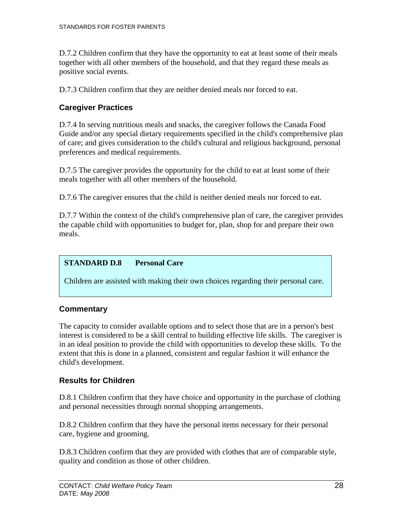D.7.2 Children confirm that they have the opportunity to eat at least some of their meals together with all other members of the household, and that they regard these meals as positive social events.

D.7.3 Children confirm that they are neither denied meals nor forced to eat.

## **Caregiver Practices**

D.7.4 In serving nutritious meals and snacks, the caregiver follows the Canada Food Guide and/or any special dietary requirements specified in the child's comprehensive plan of care; and gives consideration to the child's cultural and religious background, personal preferences and medical requirements.

D.7.5 The caregiver provides the opportunity for the child to eat at least some of their meals together with all other members of the household.

D.7.6 The caregiver ensures that the child is neither denied meals nor forced to eat.

D.7.7 Within the context of the child's comprehensive plan of care, the caregiver provides the capable child with opportunities to budget for, plan, shop for and prepare their own meals.

## **STANDARD D.8 Personal Care**

Children are assisted with making their own choices regarding their personal care.

## **Commentary**

The capacity to consider available options and to select those that are in a person's best interest is considered to be a skill central to building effective life skills. The caregiver is in an ideal position to provide the child with opportunities to develop these skills. To the extent that this is done in a planned, consistent and regular fashion it will enhance the child's development.

## **Results for Children**

D.8.1 Children confirm that they have choice and opportunity in the purchase of clothing and personal necessities through normal shopping arrangements.

D.8.2 Children confirm that they have the personal items necessary for their personal care, hygiene and grooming.

D.8.3 Children confirm that they are provided with clothes that are of comparable style, quality and condition as those of other children.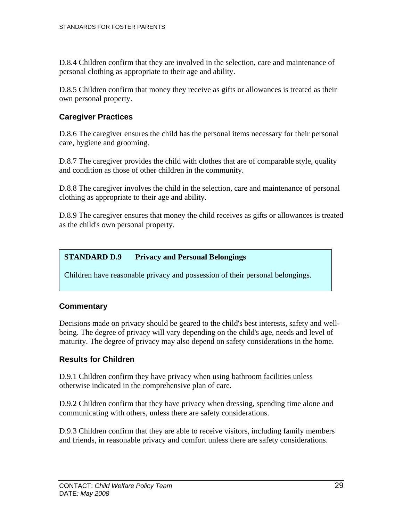D.8.4 Children confirm that they are involved in the selection, care and maintenance of personal clothing as appropriate to their age and ability.

D.8.5 Children confirm that money they receive as gifts or allowances is treated as their own personal property.

## **Caregiver Practices**

D.8.6 The caregiver ensures the child has the personal items necessary for their personal care, hygiene and grooming.

D.8.7 The caregiver provides the child with clothes that are of comparable style, quality and condition as those of other children in the community.

D.8.8 The caregiver involves the child in the selection, care and maintenance of personal clothing as appropriate to their age and ability.

D.8.9 The caregiver ensures that money the child receives as gifts or allowances is treated as the child's own personal property.

### **STANDARD D.9 Privacy and Personal Belongings**

Children have reasonable privacy and possession of their personal belongings.

### **Commentary**

Decisions made on privacy should be geared to the child's best interests, safety and wellbeing. The degree of privacy will vary depending on the child's age, needs and level of maturity. The degree of privacy may also depend on safety considerations in the home.

### **Results for Children**

D.9.1 Children confirm they have privacy when using bathroom facilities unless otherwise indicated in the comprehensive plan of care.

D.9.2 Children confirm that they have privacy when dressing, spending time alone and communicating with others, unless there are safety considerations.

D.9.3 Children confirm that they are able to receive visitors, including family members and friends, in reasonable privacy and comfort unless there are safety considerations.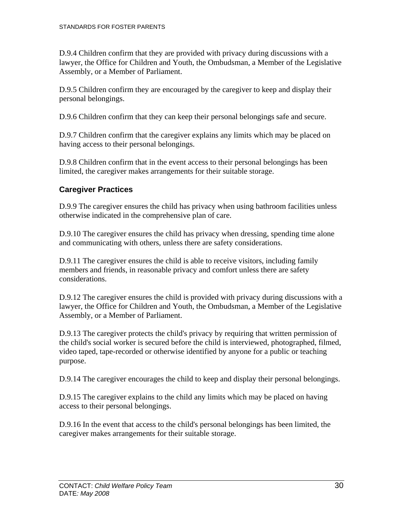D.9.4 Children confirm that they are provided with privacy during discussions with a lawyer, the Office for Children and Youth, the Ombudsman, a Member of the Legislative Assembly, or a Member of Parliament.

D.9.5 Children confirm they are encouraged by the caregiver to keep and display their personal belongings.

D.9.6 Children confirm that they can keep their personal belongings safe and secure.

D.9.7 Children confirm that the caregiver explains any limits which may be placed on having access to their personal belongings.

D.9.8 Children confirm that in the event access to their personal belongings has been limited, the caregiver makes arrangements for their suitable storage.

## **Caregiver Practices**

D.9.9 The caregiver ensures the child has privacy when using bathroom facilities unless otherwise indicated in the comprehensive plan of care.

D.9.10 The caregiver ensures the child has privacy when dressing, spending time alone and communicating with others, unless there are safety considerations.

D.9.11 The caregiver ensures the child is able to receive visitors, including family members and friends, in reasonable privacy and comfort unless there are safety considerations.

D.9.12 The caregiver ensures the child is provided with privacy during discussions with a lawyer, the Office for Children and Youth, the Ombudsman, a Member of the Legislative Assembly, or a Member of Parliament.

D.9.13 The caregiver protects the child's privacy by requiring that written permission of the child's social worker is secured before the child is interviewed, photographed, filmed, video taped, tape-recorded or otherwise identified by anyone for a public or teaching purpose.

D.9.14 The caregiver encourages the child to keep and display their personal belongings.

D.9.15 The caregiver explains to the child any limits which may be placed on having access to their personal belongings.

D.9.16 In the event that access to the child's personal belongings has been limited, the caregiver makes arrangements for their suitable storage.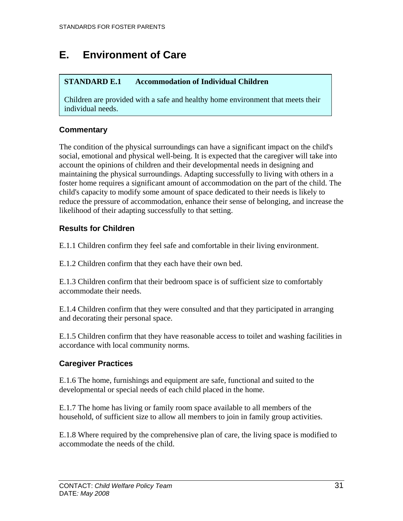# **E. Environment of Care**

## **STANDARD E.1 Accommodation of Individual Children**

Children are provided with a safe and healthy home environment that meets their individual needs.

## **Commentary**

The condition of the physical surroundings can have a significant impact on the child's social, emotional and physical well-being. It is expected that the caregiver will take into account the opinions of children and their developmental needs in designing and maintaining the physical surroundings. Adapting successfully to living with others in a foster home requires a significant amount of accommodation on the part of the child. The child's capacity to modify some amount of space dedicated to their needs is likely to reduce the pressure of accommodation, enhance their sense of belonging, and increase the likelihood of their adapting successfully to that setting.

## **Results for Children**

E.1.1 Children confirm they feel safe and comfortable in their living environment.

E.1.2 Children confirm that they each have their own bed.

E.1.3 Children confirm that their bedroom space is of sufficient size to comfortably accommodate their needs.

E.1.4 Children confirm that they were consulted and that they participated in arranging and decorating their personal space.

E.1.5 Children confirm that they have reasonable access to toilet and washing facilities in accordance with local community norms.

## **Caregiver Practices**

E.1.6 The home, furnishings and equipment are safe, functional and suited to the developmental or special needs of each child placed in the home.

E.1.7 The home has living or family room space available to all members of the household, of sufficient size to allow all members to join in family group activities.

E.1.8 Where required by the comprehensive plan of care, the living space is modified to accommodate the needs of the child.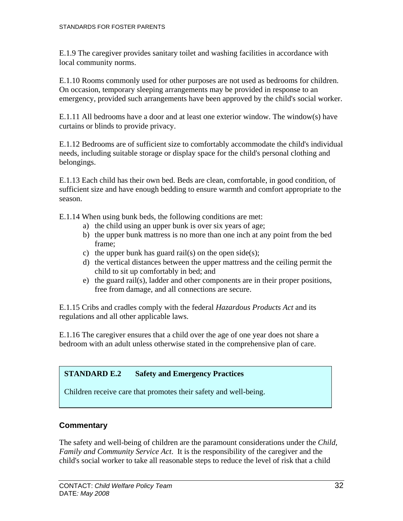E.1.9 The caregiver provides sanitary toilet and washing facilities in accordance with local community norms.

E.1.10 Rooms commonly used for other purposes are not used as bedrooms for children. On occasion, temporary sleeping arrangements may be provided in response to an emergency, provided such arrangements have been approved by the child's social worker.

E.1.11 All bedrooms have a door and at least one exterior window. The window(s) have curtains or blinds to provide privacy.

E.1.12 Bedrooms are of sufficient size to comfortably accommodate the child's individual needs, including suitable storage or display space for the child's personal clothing and belongings.

E.1.13 Each child has their own bed. Beds are clean, comfortable, in good condition, of sufficient size and have enough bedding to ensure warmth and comfort appropriate to the season.

E.1.14 When using bunk beds, the following conditions are met:

- a) the child using an upper bunk is over six years of age;
- b) the upper bunk mattress is no more than one inch at any point from the bed frame;
- c) the upper bunk has guard rail(s) on the open side(s);
- d) the vertical distances between the upper mattress and the ceiling permit the child to sit up comfortably in bed; and
- e) the guard rail(s), ladder and other components are in their proper positions, free from damage, and all connections are secure.

E.1.15 Cribs and cradles comply with the federal *Hazardous Products Act* and its regulations and all other applicable laws.

E.1.16 The caregiver ensures that a child over the age of one year does not share a bedroom with an adult unless otherwise stated in the comprehensive plan of care.

### **STANDARD E.2 Safety and Emergency Practices**

Children receive care that promotes their safety and well-being.

## **Commentary**

The safety and well-being of children are the paramount considerations under the *Child, Family and Community Service Act*. It is the responsibility of the caregiver and the child's social worker to take all reasonable steps to reduce the level of risk that a child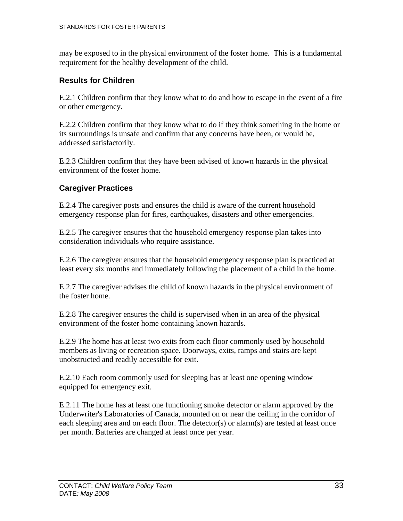may be exposed to in the physical environment of the foster home. This is a fundamental requirement for the healthy development of the child.

## **Results for Children**

E.2.1 Children confirm that they know what to do and how to escape in the event of a fire or other emergency.

E.2.2 Children confirm that they know what to do if they think something in the home or its surroundings is unsafe and confirm that any concerns have been, or would be, addressed satisfactorily.

E.2.3 Children confirm that they have been advised of known hazards in the physical environment of the foster home.

## **Caregiver Practices**

E.2.4 The caregiver posts and ensures the child is aware of the current household emergency response plan for fires, earthquakes, disasters and other emergencies.

E.2.5 The caregiver ensures that the household emergency response plan takes into consideration individuals who require assistance.

E.2.6 The caregiver ensures that the household emergency response plan is practiced at least every six months and immediately following the placement of a child in the home.

E.2.7 The caregiver advises the child of known hazards in the physical environment of the foster home.

E.2.8 The caregiver ensures the child is supervised when in an area of the physical environment of the foster home containing known hazards.

E.2.9 The home has at least two exits from each floor commonly used by household members as living or recreation space. Doorways, exits, ramps and stairs are kept unobstructed and readily accessible for exit.

E.2.10 Each room commonly used for sleeping has at least one opening window equipped for emergency exit.

E.2.11 The home has at least one functioning smoke detector or alarm approved by the Underwriter's Laboratories of Canada, mounted on or near the ceiling in the corridor of each sleeping area and on each floor. The detector(s) or alarm(s) are tested at least once per month. Batteries are changed at least once per year.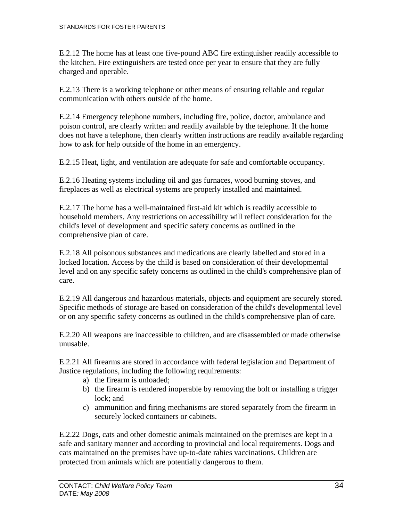E.2.12 The home has at least one five-pound ABC fire extinguisher readily accessible to the kitchen. Fire extinguishers are tested once per year to ensure that they are fully charged and operable.

E.2.13 There is a working telephone or other means of ensuring reliable and regular communication with others outside of the home.

E.2.14 Emergency telephone numbers, including fire, police, doctor, ambulance and poison control, are clearly written and readily available by the telephone. If the home does not have a telephone, then clearly written instructions are readily available regarding how to ask for help outside of the home in an emergency.

E.2.15 Heat, light, and ventilation are adequate for safe and comfortable occupancy.

E.2.16 Heating systems including oil and gas furnaces, wood burning stoves, and fireplaces as well as electrical systems are properly installed and maintained.

E.2.17 The home has a well-maintained first-aid kit which is readily accessible to household members. Any restrictions on accessibility will reflect consideration for the child's level of development and specific safety concerns as outlined in the comprehensive plan of care.

E.2.18 All poisonous substances and medications are clearly labelled and stored in a locked location. Access by the child is based on consideration of their developmental level and on any specific safety concerns as outlined in the child's comprehensive plan of care.

E.2.19 All dangerous and hazardous materials, objects and equipment are securely stored. Specific methods of storage are based on consideration of the child's developmental level or on any specific safety concerns as outlined in the child's comprehensive plan of care.

E.2.20 All weapons are inaccessible to children, and are disassembled or made otherwise unusable.

E.2.21 All firearms are stored in accordance with federal legislation and Department of Justice regulations, including the following requirements:

- a) the firearm is unloaded;
- b) the firearm is rendered inoperable by removing the bolt or installing a trigger lock; and
- c) ammunition and firing mechanisms are stored separately from the firearm in securely locked containers or cabinets.

E.2.22 Dogs, cats and other domestic animals maintained on the premises are kept in a safe and sanitary manner and according to provincial and local requirements. Dogs and cats maintained on the premises have up-to-date rabies vaccinations. Children are protected from animals which are potentially dangerous to them.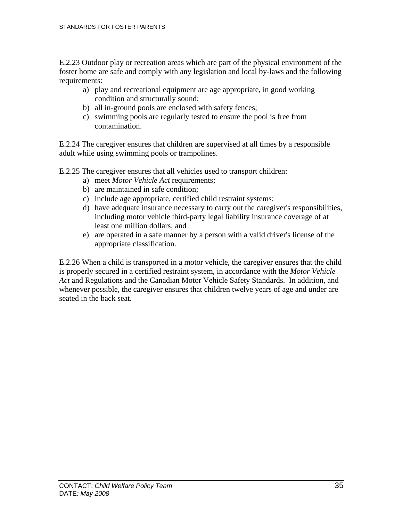E.2.23 Outdoor play or recreation areas which are part of the physical environment of the foster home are safe and comply with any legislation and local by-laws and the following requirements:

- a) play and recreational equipment are age appropriate, in good working condition and structurally sound;
- b) all in-ground pools are enclosed with safety fences;
- c) swimming pools are regularly tested to ensure the pool is free from contamination.

E.2.24 The caregiver ensures that children are supervised at all times by a responsible adult while using swimming pools or trampolines.

E.2.25 The caregiver ensures that all vehicles used to transport children:

- a) meet *Motor Vehicle Act* requirements;
- b) are maintained in safe condition;
- c) include age appropriate, certified child restraint systems;
- d) have adequate insurance necessary to carry out the caregiver's responsibilities, including motor vehicle third-party legal liability insurance coverage of at least one million dollars; and
- e) are operated in a safe manner by a person with a valid driver's license of the appropriate classification.

E.2.26 When a child is transported in a motor vehicle, the caregiver ensures that the child is properly secured in a certified restraint system, in accordance with the *Motor Vehicle Act* and Regulations and the Canadian Motor Vehicle Safety Standards. In addition, and whenever possible, the caregiver ensures that children twelve years of age and under are seated in the back seat.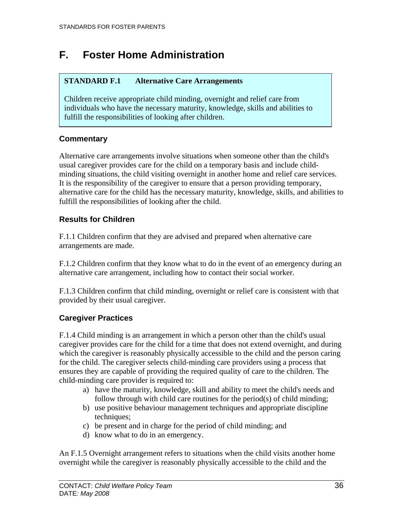## **F. Foster Home Administration**

### **STANDARD F.1 Alternative Care Arrangements**

Children receive appropriate child minding, overnight and relief care from individuals who have the necessary maturity, knowledge, skills and abilities to fulfill the responsibilities of looking after children.

## **Commentary**

Alternative care arrangements involve situations when someone other than the child's usual caregiver provides care for the child on a temporary basis and include childminding situations, the child visiting overnight in another home and relief care services. It is the responsibility of the caregiver to ensure that a person providing temporary, alternative care for the child has the necessary maturity, knowledge, skills, and abilities to fulfill the responsibilities of looking after the child.

## **Results for Children**

F.1.1 Children confirm that they are advised and prepared when alternative care arrangements are made.

F.1.2 Children confirm that they know what to do in the event of an emergency during an alternative care arrangement, including how to contact their social worker.

F.1.3 Children confirm that child minding, overnight or relief care is consistent with that provided by their usual caregiver.

## **Caregiver Practices**

F.1.4 Child minding is an arrangement in which a person other than the child's usual caregiver provides care for the child for a time that does not extend overnight, and during which the caregiver is reasonably physically accessible to the child and the person caring for the child. The caregiver selects child-minding care providers using a process that ensures they are capable of providing the required quality of care to the children. The child-minding care provider is required to:

- a) have the maturity, knowledge, skill and ability to meet the child's needs and follow through with child care routines for the period(s) of child minding;
- b) use positive behaviour management techniques and appropriate discipline techniques:
- c) be present and in charge for the period of child minding; and
- d) know what to do in an emergency.

An F.1.5 Overnight arrangement refers to situations when the child visits another home overnight while the caregiver is reasonably physically accessible to the child and the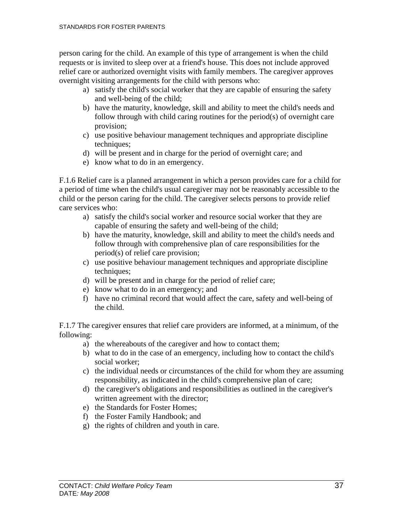person caring for the child. An example of this type of arrangement is when the child requests or is invited to sleep over at a friend's house. This does not include approved relief care or authorized overnight visits with family members. The caregiver approves overnight visiting arrangements for the child with persons who:

- a) satisfy the child's social worker that they are capable of ensuring the safety and well-being of the child;
- b) have the maturity, knowledge, skill and ability to meet the child's needs and follow through with child caring routines for the period(s) of overnight care provision;
- c) use positive behaviour management techniques and appropriate discipline techniques;
- d) will be present and in charge for the period of overnight care; and
- e) know what to do in an emergency.

F.1.6 Relief care is a planned arrangement in which a person provides care for a child for a period of time when the child's usual caregiver may not be reasonably accessible to the child or the person caring for the child. The caregiver selects persons to provide relief care services who:

- a) satisfy the child's social worker and resource social worker that they are capable of ensuring the safety and well-being of the child;
- b) have the maturity, knowledge, skill and ability to meet the child's needs and follow through with comprehensive plan of care responsibilities for the period(s) of relief care provision;
- c) use positive behaviour management techniques and appropriate discipline techniques:
- d) will be present and in charge for the period of relief care;
- e) know what to do in an emergency; and
- f) have no criminal record that would affect the care, safety and well-being of the child.

F.1.7 The caregiver ensures that relief care providers are informed, at a minimum, of the following:

- a) the whereabouts of the caregiver and how to contact them;
- b) what to do in the case of an emergency, including how to contact the child's social worker;
- c) the individual needs or circumstances of the child for whom they are assuming responsibility, as indicated in the child's comprehensive plan of care;
- d) the caregiver's obligations and responsibilities as outlined in the caregiver's written agreement with the director;
- e) the Standards for Foster Homes;
- f) the Foster Family Handbook; and
- g) the rights of children and youth in care.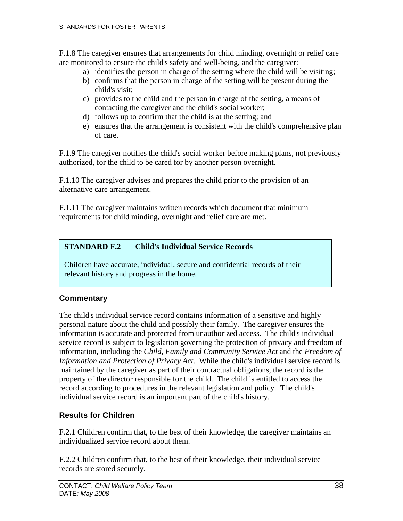F.1.8 The caregiver ensures that arrangements for child minding, overnight or relief care are monitored to ensure the child's safety and well-being, and the caregiver:

- a) identifies the person in charge of the setting where the child will be visiting;
- b) confirms that the person in charge of the setting will be present during the child's visit;
- c) provides to the child and the person in charge of the setting, a means of contacting the caregiver and the child's social worker;
- d) follows up to confirm that the child is at the setting; and
- e) ensures that the arrangement is consistent with the child's comprehensive plan of care.

F.1.9 The caregiver notifies the child's social worker before making plans, not previously authorized, for the child to be cared for by another person overnight.

F.1.10 The caregiver advises and prepares the child prior to the provision of an alternative care arrangement.

F.1.11 The caregiver maintains written records which document that minimum requirements for child minding, overnight and relief care are met.

## **STANDARD F.2 Child's Individual Service Records**

Children have accurate, individual, secure and confidential records of their relevant history and progress in the home.

## **Commentary**

The child's individual service record contains information of a sensitive and highly personal nature about the child and possibly their family. The caregiver ensures the information is accurate and protected from unauthorized access. The child's individual service record is subject to legislation governing the protection of privacy and freedom of information, including the *Child, Family and Community Service Act* and the *Freedom of Information and Protection of Privacy Act*. While the child's individual service record is maintained by the caregiver as part of their contractual obligations, the record is the property of the director responsible for the child. The child is entitled to access the record according to procedures in the relevant legislation and policy. The child's individual service record is an important part of the child's history.

## **Results for Children**

F.2.1 Children confirm that, to the best of their knowledge, the caregiver maintains an individualized service record about them.

F.2.2 Children confirm that, to the best of their knowledge, their individual service records are stored securely.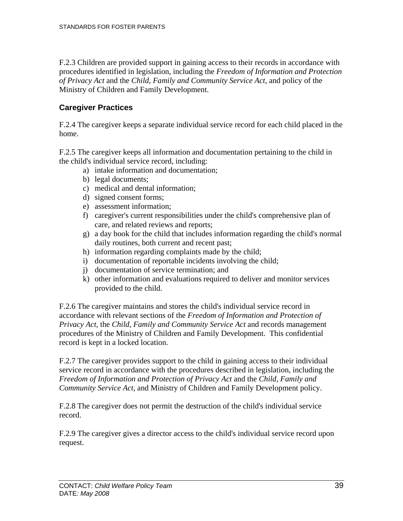F.2.3 Children are provided support in gaining access to their records in accordance with procedures identified in legislation, including the *Freedom of Information and Protection of Privacy Act* and the *Child, Family and Community Service Act*, and policy of the Ministry of Children and Family Development.

## **Caregiver Practices**

F.2.4 The caregiver keeps a separate individual service record for each child placed in the home.

F.2.5 The caregiver keeps all information and documentation pertaining to the child in the child's individual service record, including:

- a) intake information and documentation;
- b) legal documents;
- c) medical and dental information;
- d) signed consent forms;
- e) assessment information;
- f) caregiver's current responsibilities under the child's comprehensive plan of care, and related reviews and reports;
- g) a day book for the child that includes information regarding the child's normal daily routines, both current and recent past;
- h) information regarding complaints made by the child;
- i) documentation of reportable incidents involving the child;
- j) documentation of service termination; and
- k) other information and evaluations required to deliver and monitor services provided to the child.

F.2.6 The caregiver maintains and stores the child's individual service record in accordance with relevant sections of the *Freedom of Information and Protection of Privacy Act*, the *Child, Family and Community Service Act* and records management procedures of the Ministry of Children and Family Development. This confidential record is kept in a locked location.

F.2.7 The caregiver provides support to the child in gaining access to their individual service record in accordance with the procedures described in legislation, including the *Freedom of Information and Protection of Privacy Act* and the *Child, Family and Community Service Act*, and Ministry of Children and Family Development policy.

F.2.8 The caregiver does not permit the destruction of the child's individual service record.

F.2.9 The caregiver gives a director access to the child's individual service record upon request.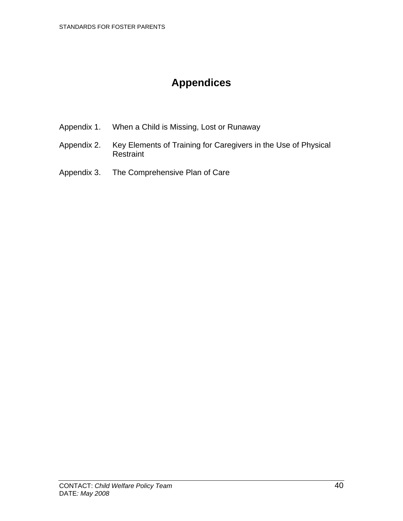## **Appendices**

- Appendix 1. When a Child is Missing, Lost or Runaway
- Appendix 2. Key Elements of Training for Caregivers in the Use of Physical **Restraint**
- Appendix 3. The Comprehensive Plan of Care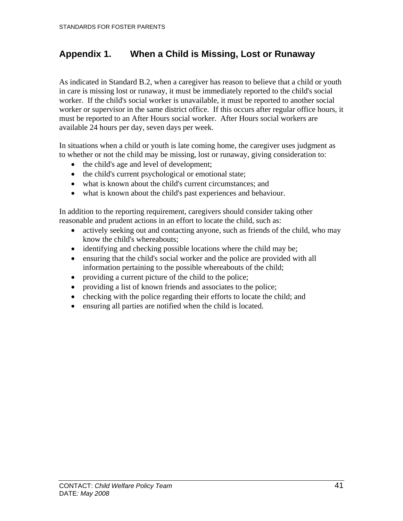## **Appendix 1. When a Child is Missing, Lost or Runaway**

As indicated in Standard B.2, when a caregiver has reason to believe that a child or youth in care is missing lost or runaway, it must be immediately reported to the child's social worker. If the child's social worker is unavailable, it must be reported to another social worker or supervisor in the same district office. If this occurs after regular office hours, it must be reported to an After Hours social worker. After Hours social workers are available 24 hours per day, seven days per week.

In situations when a child or youth is late coming home, the caregiver uses judgment as to whether or not the child may be missing, lost or runaway, giving consideration to:

- the child's age and level of development;
- the child's current psychological or emotional state;
- what is known about the child's current circumstances: and
- what is known about the child's past experiences and behaviour.

In addition to the reporting requirement, caregivers should consider taking other reasonable and prudent actions in an effort to locate the child, such as:

- actively seeking out and contacting anyone, such as friends of the child, who may know the child's whereabouts;
- identifying and checking possible locations where the child may be;
- ensuring that the child's social worker and the police are provided with all information pertaining to the possible whereabouts of the child;
- providing a current picture of the child to the police;
- providing a list of known friends and associates to the police;
- checking with the police regarding their efforts to locate the child; and
- ensuring all parties are notified when the child is located.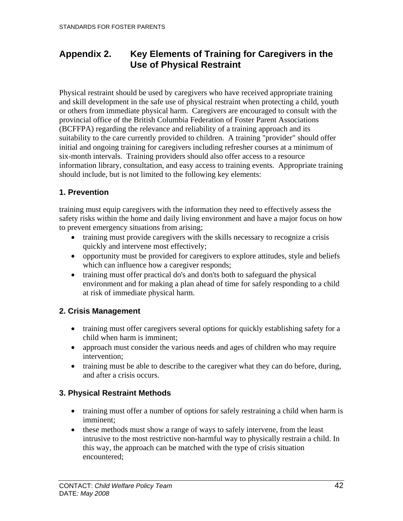## **Appendix 2. Key Elements of Training for Caregivers in the Use of Physical Restraint**

Physical restraint should be used by caregivers who have received appropriate training and skill development in the safe use of physical restraint when protecting a child, youth or others from immediate physical harm. Caregivers are encouraged to consult with the provincial office of the British Columbia Federation of Foster Parent Associations (BCFFPA) regarding the relevance and reliability of a training approach and its suitability to the care currently provided to children. A training "provider" should offer initial and ongoing training for caregivers including refresher courses at a minimum of six-month intervals. Training providers should also offer access to a resource information library, consultation, and easy access to training events. Appropriate training should include, but is not limited to the following key elements:

## **1. Prevention**

training must equip caregivers with the information they need to effectively assess the safety risks within the home and daily living environment and have a major focus on how to prevent emergency situations from arising;

- training must provide caregivers with the skills necessary to recognize a crisis quickly and intervene most effectively;
- opportunity must be provided for caregivers to explore attitudes, style and beliefs which can influence how a caregiver responds;
- training must offer practical do's and don'ts both to safeguard the physical environment and for making a plan ahead of time for safely responding to a child at risk of immediate physical harm.

## **2. Crisis Management**

- training must offer caregivers several options for quickly establishing safety for a child when harm is imminent;
- approach must consider the various needs and ages of children who may require intervention;
- training must be able to describe to the caregiver what they can do before, during, and after a crisis occurs.

## **3. Physical Restraint Methods**

- training must offer a number of options for safely restraining a child when harm is imminent;
- these methods must show a range of ways to safely intervene, from the least intrusive to the most restrictive non-harmful way to physically restrain a child. In this way, the approach can be matched with the type of crisis situation encountered;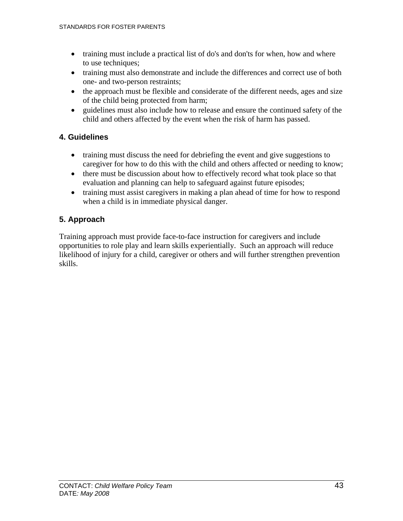- training must include a practical list of do's and don'ts for when, how and where to use techniques;
- training must also demonstrate and include the differences and correct use of both one- and two-person restraints;
- the approach must be flexible and considerate of the different needs, ages and size of the child being protected from harm;
- guidelines must also include how to release and ensure the continued safety of the child and others affected by the event when the risk of harm has passed.

## **4. Guidelines**

- training must discuss the need for debriefing the event and give suggestions to caregiver for how to do this with the child and others affected or needing to know;
- there must be discussion about how to effectively record what took place so that evaluation and planning can help to safeguard against future episodes;
- training must assist caregivers in making a plan ahead of time for how to respond when a child is in immediate physical danger.

## **5. Approach**

Training approach must provide face-to-face instruction for caregivers and include opportunities to role play and learn skills experientially. Such an approach will reduce likelihood of injury for a child, caregiver or others and will further strengthen prevention skills.